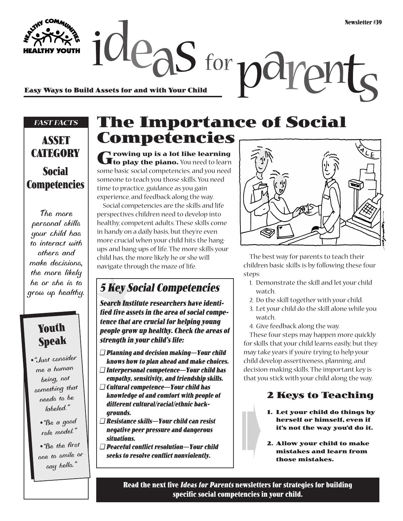**Easy Ways to Build Assets for and with Your Child**

#### *FAST FACTS*

## **ASSET CATEGORY Social Competencies**

*The more personal skills your child has to interact with others and make decisions, the more likely he or she is to grow up healthy.* 

#### **Youth Speak**

- *•"Just consider me a human being, not something that needs to be labeled."*
	- *•"Be a good role model."*

*•"Be the first one to smile or say hello."*

# **The Importance of Social Competencies**

 $\alpha$  deas for  $\alpha$ 

**Growing up is a lot like learning to play the piano.** You need to learn some basic social competencies, and you need someone to teach you those skills. You need time to practice, guidance as you gain experience, and feedback along the way. Social competencies are the skills and life perspectives children need to develop into healthy, competent adults. These skills come in handy on a daily basis, but they're even more crucial when your child hits the hangups and bang-ups of life. The more skills your child has, the more likely he or she will

### **5 Key Social Competencies**

navigate through the maze of life.

**Search Institute researchers have identified five assets in the area of social competence that are crucial for helping young people grow up healthy. Check the areas of strength in your child's life:**

- ❑ **Planning and decision making—Your child knows how to plan ahead and make choices.**
- ❑ **Interpersonal competence—Your child has empathy, sensitivity, and friendship skills.**
- ❑ **Cultural competence—Your child has**
- **knowledge of and comfort with people of different cultural/racial/ethnic backgrounds.**
- ❑ **Resistance skills—Your child can resist negative peer pressure and dangerous situations.**
- ❑ **Peaceful conflict resolution—Your child seeks to resolve conflict nonviolently.**

ph

The best way for parents to teach their children basic skills is by following these four steps:

- 1. Demonstrate the skill and let your child watch.
- 2. Do the skill together with your child.
- 3. Let your child do the skill alone while you watch.
- 4. Give feedback along the way.

These four steps may happen more quickly for skills that your child learns easily, but they may take years if you're trying to help your child develop assertiveness, planning, and decision-making skills. The important key is that you stick with your child along the way.

#### **2 Keys to Teaching**

- **1. Let your child do things by herself or himself, even if it's not the way you'd do it.**
- **2. Allow your child to make mistakes and learn from** ➠ **those mistakes.**

**Read the next five Ideas for Parents newsletters for strategies for building specific social competencies in your child.**